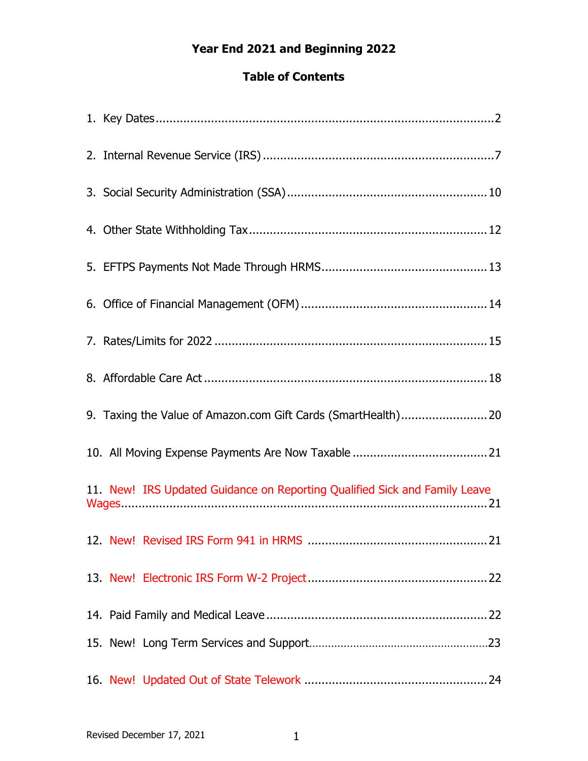# **Year End 2021 and Beginning 2022**

# **Table of Contents**

| 9. Taxing the Value of Amazon.com Gift Cards (SmartHealth)20               |
|----------------------------------------------------------------------------|
|                                                                            |
| 11. New! IRS Updated Guidance on Reporting Qualified Sick and Family Leave |
|                                                                            |
|                                                                            |
|                                                                            |
|                                                                            |
|                                                                            |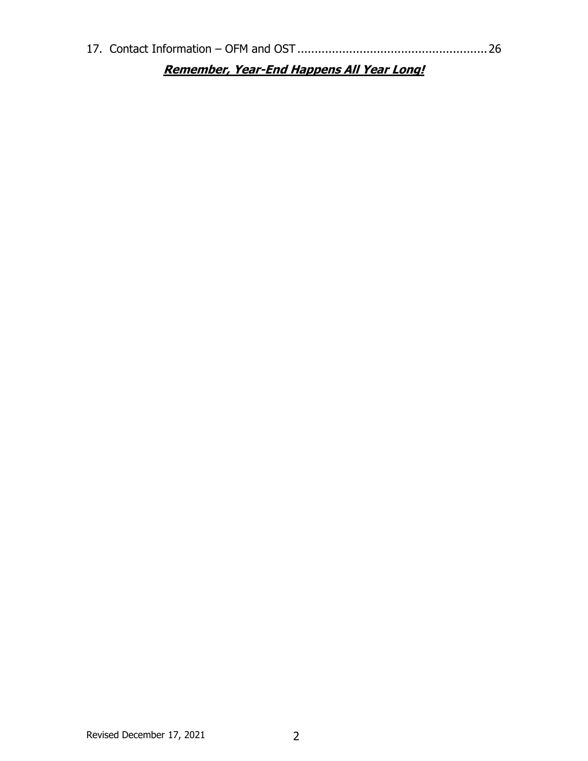| <b>Remember, Year-End Happens All Year Long!</b> |  |
|--------------------------------------------------|--|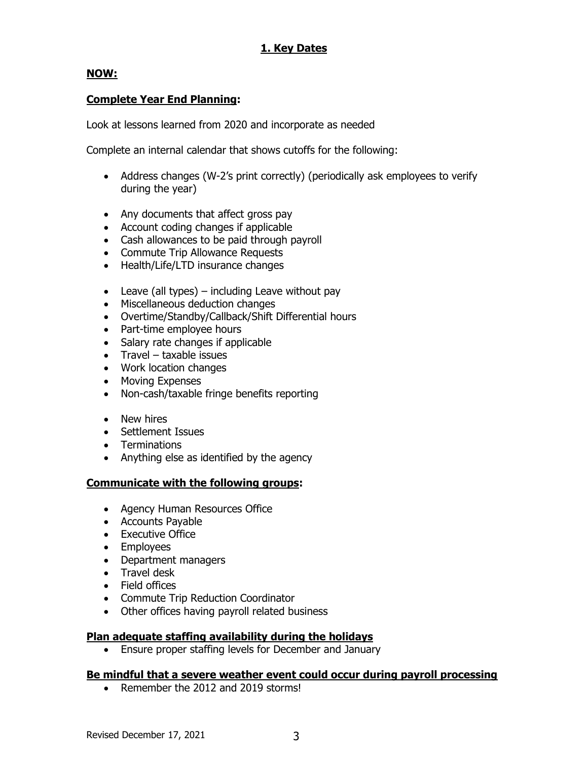#### **1. Key Dates**

#### **NOW:**

#### **Complete Year End Planning:**

Look at lessons learned from 2020 and incorporate as needed

Complete an internal calendar that shows cutoffs for the following:

- Address changes (W-2's print correctly) (periodically ask employees to verify during the year)
- Any documents that affect gross pay
- Account coding changes if applicable
- Cash allowances to be paid through payroll
- Commute Trip Allowance Requests
- Health/Life/LTD insurance changes
- Leave (all types) including Leave without pay
- Miscellaneous deduction changes
- Overtime/Standby/Callback/Shift Differential hours
- Part-time employee hours
- Salary rate changes if applicable
- Travel taxable issues
- Work location changes
- Moving Expenses
- Non-cash/taxable fringe benefits reporting
- New hires
- Settlement Issues
- Terminations
- Anything else as identified by the agency

#### **Communicate with the following groups:**

- Agency Human Resources Office
- Accounts Payable
- Executive Office
- Employees
- Department managers
- Travel desk
- Field offices
- Commute Trip Reduction Coordinator
- Other offices having payroll related business

#### **Plan adequate staffing availability during the holidays**

• Ensure proper staffing levels for December and January

#### **Be mindful that a severe weather event could occur during payroll processing**

• Remember the 2012 and 2019 storms!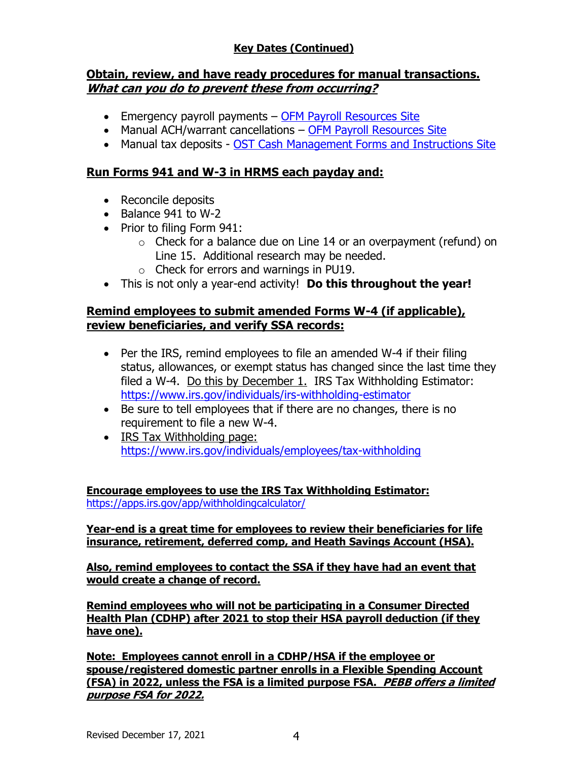## **Key Dates (Continued)**

#### **Obtain, review, and have ready procedures for manual transactions. What can you do to prevent these from occurring?**

- Emergency payroll payments [OFM Payroll Resources Site](http://www.ofm.wa.gov/resources/payroll.asp)
- Manual ACH/warrant cancellations [OFM Payroll Resources Site](http://www.ofm.wa.gov/resources/payroll.asp)
- Manual tax deposits [OST Cash Management Forms and Instructions Site](http://tre.wa.gov/partners/for-state-agencies/cash-management/forms-and-instructions/)

#### **Run Forms 941 and W-3 in HRMS each payday and:**

- Reconcile deposits
- Balance 941 to W-2
- Prior to filing Form 941:
	- $\circ$  Check for a balance due on Line 14 or an overpayment (refund) on Line 15. Additional research may be needed.
	- o Check for errors and warnings in PU19.
- This is not only a year-end activity! **Do this throughout the year!**

#### **Remind employees to submit amended Forms W-4 (if applicable), review beneficiaries, and verify SSA records:**

- Per the IRS, remind employees to file an amended W-4 if their filing status, allowances, or exempt status has changed since the last time they filed a W-4. Do this by December 1. IRS Tax Withholding Estimator: <https://www.irs.gov/individuals/irs-withholding-estimator>
- Be sure to tell employees that if there are no changes, there is no requirement to file a new W-4.
- IRS Tax Withholding page: <https://www.irs.gov/individuals/employees/tax-withholding>

**Encourage employees to use the IRS Tax Withholding Estimator:** <https://apps.irs.gov/app/withholdingcalculator/>

**Year-end is a great time for employees to review their beneficiaries for life insurance, retirement, deferred comp, and Heath Savings Account (HSA).**

**Also, remind employees to contact the SSA if they have had an event that would create a change of record.**

**Remind employees who will not be participating in a Consumer Directed Health Plan (CDHP) after 2021 to stop their HSA payroll deduction (if they have one).**

**Note: Employees cannot enroll in a CDHP/HSA if the employee or spouse/registered domestic partner enrolls in a Flexible Spending Account (FSA) in 2022, unless the FSA is a limited purpose FSA. PEBB offers a limited purpose FSA for 2022.**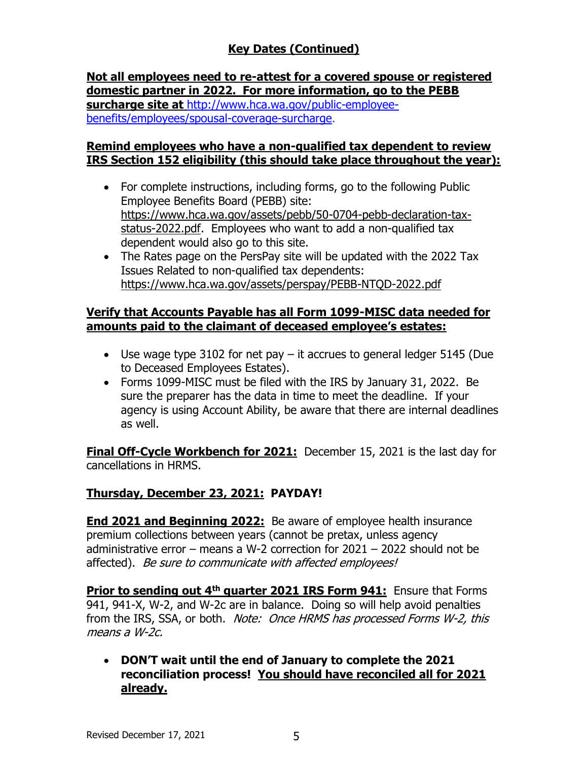# **Key Dates (Continued)**

**Not all employees need to re-attest for a covered spouse or registered domestic partner in 2022. For more information, go to the PEBB surcharge site at** [http://www.hca.wa.gov/public-employee](http://www.hca.wa.gov/public-employee-benefits/employees/spousal-coverage-surcharge)[benefits/employees/spousal-coverage-surcharge.](http://www.hca.wa.gov/public-employee-benefits/employees/spousal-coverage-surcharge)

### **Remind employees who have a non-qualified tax dependent to review IRS Section 152 eligibility (this should take place throughout the year):**

- For complete instructions, including forms, go to the following Public Employee Benefits Board (PEBB) site: [https://www.hca.wa.gov/assets/pebb/50-0704-pebb-declaration-tax](https://gcc02.safelinks.protection.outlook.com/?url=https%3A%2F%2Fwww.hca.wa.gov%2Fassets%2Fpebb%2F50-0704-pebb-declaration-tax-status-2022.pdf&data=04%7C01%7Celizabeth.smith%40ofm.wa.gov%7C4b19910ae0b04cf66a9608d9a3cb86f2%7C11d0e217264e400a8ba057dcc127d72d%7C0%7C0%7C637720916799484207%7CUnknown%7CTWFpbGZsb3d8eyJWIjoiMC4wLjAwMDAiLCJQIjoiV2luMzIiLCJBTiI6Ik1haWwiLCJXVCI6Mn0%3D%7C1000&sdata=yh3y1Z0VUWHYKHkNCL%2BuHf3lfvs1JTwupFnf3M32arY%3D&reserved=0)[status-2022.pdf.](https://gcc02.safelinks.protection.outlook.com/?url=https%3A%2F%2Fwww.hca.wa.gov%2Fassets%2Fpebb%2F50-0704-pebb-declaration-tax-status-2022.pdf&data=04%7C01%7Celizabeth.smith%40ofm.wa.gov%7C4b19910ae0b04cf66a9608d9a3cb86f2%7C11d0e217264e400a8ba057dcc127d72d%7C0%7C0%7C637720916799484207%7CUnknown%7CTWFpbGZsb3d8eyJWIjoiMC4wLjAwMDAiLCJQIjoiV2luMzIiLCJBTiI6Ik1haWwiLCJXVCI6Mn0%3D%7C1000&sdata=yh3y1Z0VUWHYKHkNCL%2BuHf3lfvs1JTwupFnf3M32arY%3D&reserved=0) Employees who want to add a non-qualified tax dependent would also go to this site.
- The Rates page on the PersPay site will be updated with the 2022 Tax Issues Related to non-qualified tax dependents: [https://www.hca.wa.gov/assets/perspay/PEBB-NTQD-2022.pdf](https://gcc02.safelinks.protection.outlook.com/?url=https%3A%2F%2Fwww.hca.wa.gov%2Fassets%2Fperspay%2FPEBB-NTQD-2022.pdf&data=04%7C01%7Celizabeth.smith%40ofm.wa.gov%7C4b19910ae0b04cf66a9608d9a3cb86f2%7C11d0e217264e400a8ba057dcc127d72d%7C0%7C0%7C637720916799494161%7CUnknown%7CTWFpbGZsb3d8eyJWIjoiMC4wLjAwMDAiLCJQIjoiV2luMzIiLCJBTiI6Ik1haWwiLCJXVCI6Mn0%3D%7C1000&sdata=5qNWUkk%2Bu4%2BszElDlzlI%2BgdwEz%2B%2Ff3850Zh%2FKLuI9P4%3D&reserved=0)

## **Verify that Accounts Payable has all Form 1099-MISC data needed for amounts paid to the claimant of deceased employee's estates:**

- Use wage type 3102 for net pay it accrues to general ledger 5145 (Due to Deceased Employees Estates).
- Forms 1099-MISC must be filed with the IRS by January 31, 2022. Be sure the preparer has the data in time to meet the deadline. If your agency is using Account Ability, be aware that there are internal deadlines as well.

**Final Off-Cycle Workbench for 2021:** December 15, 2021 is the last day for cancellations in HRMS.

# **Thursday, December 23, 2021: PAYDAY!**

**End 2021 and Beginning 2022:** Be aware of employee health insurance premium collections between years (cannot be pretax, unless agency administrative error – means a W-2 correction for 2021 – 2022 should not be affected). Be sure to communicate with affected employees!

**Prior to sending out 4th quarter 2021 IRS Form 941:** Ensure that Forms 941, 941-X, W-2, and W-2c are in balance. Doing so will help avoid penalties from the IRS, SSA, or both. Note: Once HRMS has processed Forms W-2, this means a W-2c.

• **DON'T wait until the end of January to complete the 2021 reconciliation process! You should have reconciled all for 2021 already.**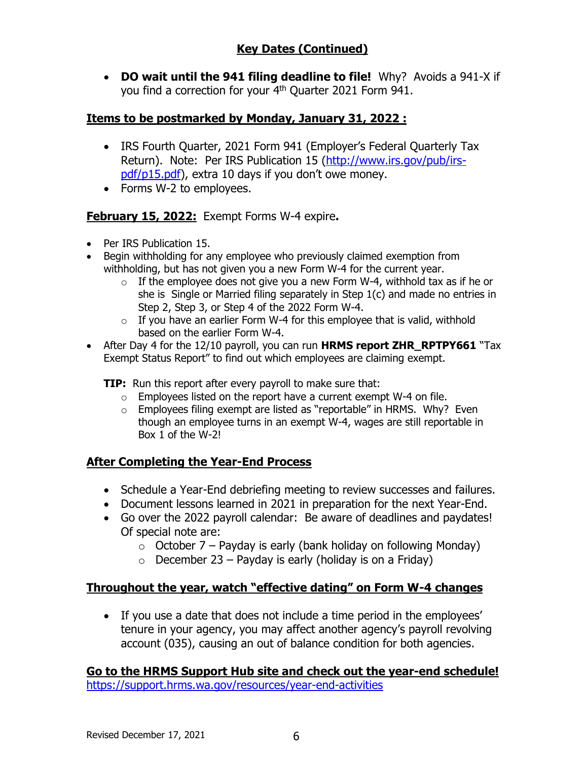• **DO wait until the 941 filing deadline to file!** Why? Avoids a 941-X if you find a correction for your 4<sup>th</sup> Quarter 2021 Form 941.

# **Items to be postmarked by Monday, January 31, 2022 :**

- IRS Fourth Quarter, 2021 Form 941 (Employer's Federal Quarterly Tax Return). Note: Per IRS Publication 15 [\(http://www.irs.gov/pub/irs](http://www.irs.gov/pub/irs-pdf/p15.pdf)[pdf/p15.pdf\)](http://www.irs.gov/pub/irs-pdf/p15.pdf), extra 10 days if you don't owe money.
- Forms W-2 to employees.

# **February 15, 2022:** Exempt Forms W-4 expire**.**

- Per IRS Publication 15.
- Begin withholding for any employee who previously claimed exemption from withholding, but has not given you a new Form W-4 for the current year.
	- $\circ$  If the employee does not give you a new Form W-4, withhold tax as if he or she is Single or Married filing separately in Step 1(c) and made no entries in Step 2, Step 3, or Step 4 of the 2022 Form W-4.
	- $\circ$  If you have an earlier Form W-4 for this employee that is valid, withhold based on the earlier Form W-4.
- After Day 4 for the 12/10 payroll, you can run **HRMS report ZHR\_RPTPY661** "Tax Exempt Status Report" to find out which employees are claiming exempt.

**TIP:** Run this report after every payroll to make sure that:

- $\circ$  Employees listed on the report have a current exempt W-4 on file.
- $\circ$  Employees filing exempt are listed as "reportable" in HRMS. Why? Even though an employee turns in an exempt W-4, wages are still reportable in Box 1 of the W-2!

# **After Completing the Year-End Process**

- Schedule a Year-End debriefing meeting to review successes and failures.
- Document lessons learned in 2021 in preparation for the next Year-End.
- Go over the 2022 payroll calendar: Be aware of deadlines and paydates! Of special note are:
	- $\circ$  October 7 Payday is early (bank holiday on following Monday)
	- $\circ$  December 23 Payday is early (holiday is on a Friday)

# **Throughout the year, watch "effective dating" on Form W-4 changes**

• If you use a date that does not include a time period in the employees' tenure in your agency, you may affect another agency's payroll revolving account (035), causing an out of balance condition for both agencies.

**Go to the HRMS Support Hub site and check out the year-end schedule!** <https://support.hrms.wa.gov/resources/year-end-activities>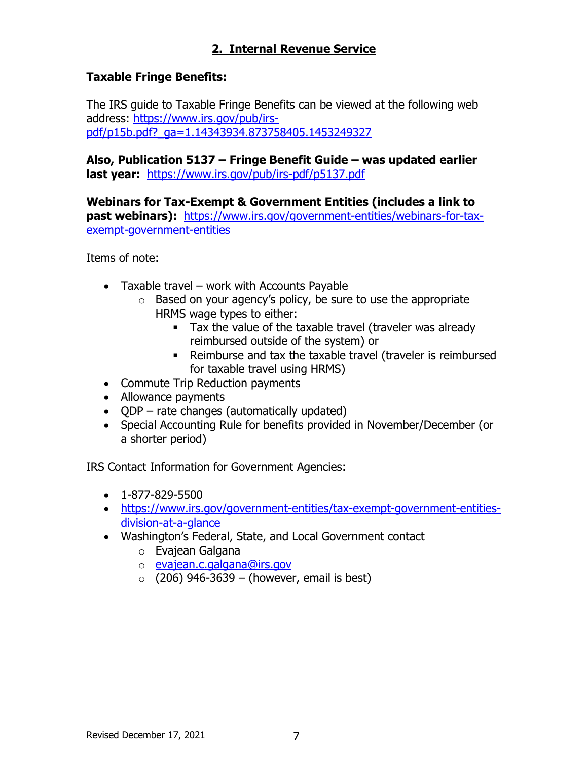# **2. Internal Revenue Service**

### **Taxable Fringe Benefits:**

The IRS guide to Taxable Fringe Benefits can be viewed at the following web address: [https://www.irs.gov/pub/irs](https://www.irs.gov/pub/irs-pdf/p15b.pdf?_ga=1.14343934.873758405.1453249327)[pdf/p15b.pdf?\\_ga=1.14343934.873758405.1453249327](https://www.irs.gov/pub/irs-pdf/p15b.pdf?_ga=1.14343934.873758405.1453249327)

**Also, Publication 5137 – Fringe Benefit Guide – was updated earlier last year:** <https://www.irs.gov/pub/irs-pdf/p5137.pdf>

**Webinars for Tax-Exempt & Government Entities (includes a link to past webinars):** [https://www.irs.gov/government-entities/webinars-for-tax](https://www.irs.gov/government-entities/webinars-for-tax-exempt-government-entities)[exempt-government-entities](https://www.irs.gov/government-entities/webinars-for-tax-exempt-government-entities)

Items of note:

- Taxable travel work with Accounts Payable
	- $\circ$  Based on your agency's policy, be sure to use the appropriate HRMS wage types to either:
		- **Tax the value of the taxable travel (traveler was already** reimbursed outside of the system) or
		- Reimburse and tax the taxable travel (traveler is reimbursed for taxable travel using HRMS)
- Commute Trip Reduction payments
- Allowance payments
- QDP rate changes (automatically updated)
- Special Accounting Rule for benefits provided in November/December (or a shorter period)

IRS Contact Information for Government Agencies:

- $\bullet$  1-877-829-5500
- [https://www.irs.gov/government-entities/tax-exempt-government-entities](https://www.irs.gov/government-entities/tax-exempt-government-entities-division-at-a-glance)[division-at-a-glance](https://www.irs.gov/government-entities/tax-exempt-government-entities-division-at-a-glance)
- Washington's Federal, State, and Local Government contact
	- o Evajean Galgana
	- o [evajean.c.galgana@irs.gov](mailto:Jennifer.A.Macht@irs.gov)
	- $\circ$  (206) 946-3639 (however, email is best)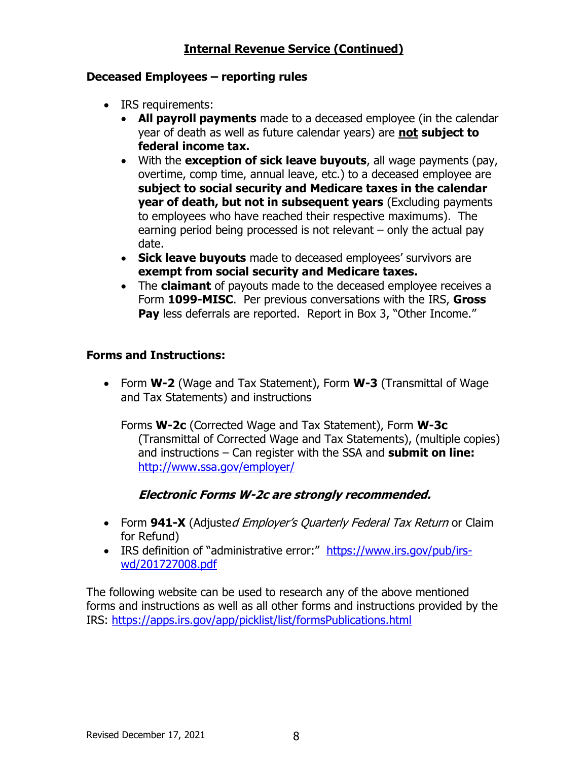## **Internal Revenue Service (Continued)**

#### **Deceased Employees – reporting rules**

- IRS requirements:
	- **All payroll payments** made to a deceased employee (in the calendar year of death as well as future calendar years) are **not subject to federal income tax.**
	- With the **exception of sick leave buyouts**, all wage payments (pay, overtime, comp time, annual leave, etc.) to a deceased employee are **subject to social security and Medicare taxes in the calendar year of death, but not in subsequent years** (Excluding payments to employees who have reached their respective maximums). The earning period being processed is not relevant – only the actual pay date.
	- **Sick leave buyouts** made to deceased employees' survivors are **exempt from social security and Medicare taxes.**
	- The **claimant** of payouts made to the deceased employee receives a Form **1099-MISC**. Per previous conversations with the IRS, **Gross**  Pay less deferrals are reported. Report in Box 3, "Other Income."

## **Forms and Instructions:**

• Form **W-2** (Wage and Tax Statement), Form **W-3** (Transmittal of Wage and Tax Statements) and instructions

Forms **W-2c** (Corrected Wage and Tax Statement), Form **W-3c** (Transmittal of Corrected Wage and Tax Statements), (multiple copies) and instructions – Can register with the SSA and **submit on line:** <http://www.ssa.gov/employer/>

### **Electronic Forms W-2c are strongly recommended.**

- Form **941-X** (Adjusted Employer's Quarterly Federal Tax Return or Claim for Refund)
- IRS definition of "administrative error:" [https://www.irs.gov/pub/irs](https://www.irs.gov/pub/irs-wd/201727008.pdf)[wd/201727008.pdf](https://www.irs.gov/pub/irs-wd/201727008.pdf)

The following website can be used to research any of the above mentioned forms and instructions as well as all other forms and instructions provided by the IRS:<https://apps.irs.gov/app/picklist/list/formsPublications.html>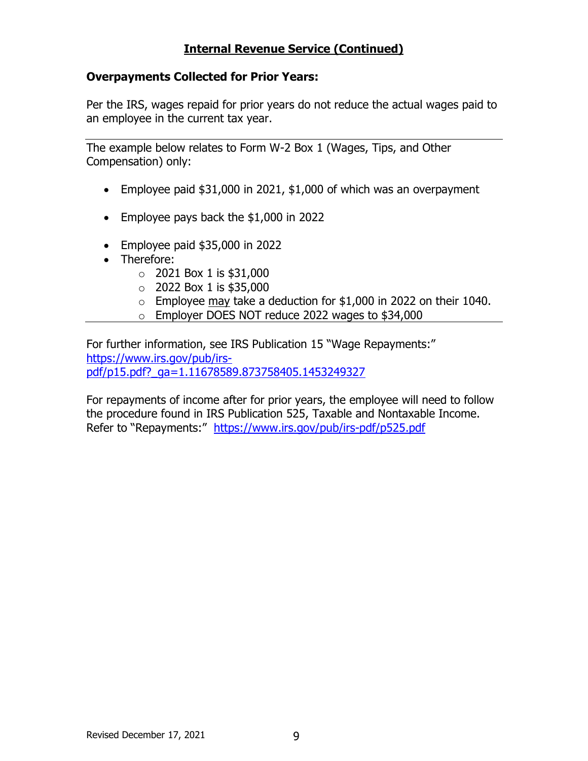## **Internal Revenue Service (Continued)**

#### **Overpayments Collected for Prior Years:**

Per the IRS, wages repaid for prior years do not reduce the actual wages paid to an employee in the current tax year.

The example below relates to Form W-2 Box 1 (Wages, Tips, and Other Compensation) only:

- Employee paid \$31,000 in 2021, \$1,000 of which was an overpayment
- Employee pays back the \$1,000 in 2022
- Employee paid \$35,000 in 2022
- Therefore:
	- $\circ$  2021 Box 1 is \$31,000
	- $\circ$  2022 Box 1 is \$35,000
	- $\circ$  Employee may take a deduction for \$1,000 in 2022 on their 1040.
	- o Employer DOES NOT reduce 2022 wages to \$34,000

For further information, see IRS Publication 15 "Wage Repayments:" [https://www.irs.gov/pub/irs](https://www.irs.gov/pub/irs-pdf/p15.pdf?_ga=1.11678589.873758405.1453249327)[pdf/p15.pdf?\\_ga=1.11678589.873758405.1453249327](https://www.irs.gov/pub/irs-pdf/p15.pdf?_ga=1.11678589.873758405.1453249327)

For repayments of income after for prior years, the employee will need to follow the procedure found in IRS Publication 525, Taxable and Nontaxable Income. Refer to "Repayments:" <https://www.irs.gov/pub/irs-pdf/p525.pdf>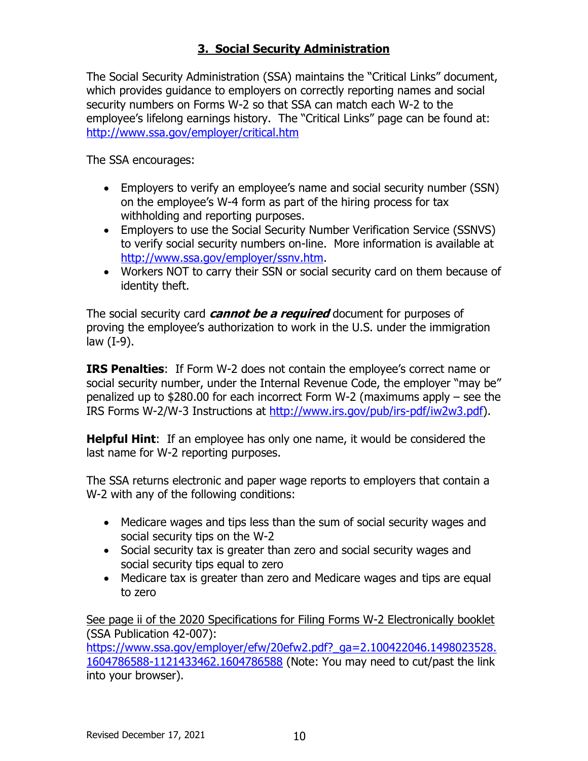# **3. Social Security Administration**

The Social Security Administration (SSA) maintains the "Critical Links" document, which provides guidance to employers on correctly reporting names and social security numbers on Forms W-2 so that SSA can match each W-2 to the employee's lifelong earnings history. The "Critical Links" page can be found at: <http://www.ssa.gov/employer/critical.htm>

The SSA encourages:

- Employers to verify an employee's name and social security number (SSN) on the employee's W-4 form as part of the hiring process for tax withholding and reporting purposes.
- Employers to use the Social Security Number Verification Service (SSNVS) to verify social security numbers on-line. More information is available at [http://www.ssa.gov/employer/ssnv.htm.](http://www.ssa.gov/employer/ssnv.htm)
- Workers NOT to carry their SSN or social security card on them because of identity theft.

The social security card **cannot be a required** document for purposes of proving the employee's authorization to work in the U.S. under the immigration law (I-9).

**IRS Penalties**: If Form W-2 does not contain the employee's correct name or social security number, under the Internal Revenue Code, the employer "may be" penalized up to \$280.00 for each incorrect Form W-2 (maximums apply – see the IRS Forms W-2/W-3 Instructions at [http://www.irs.gov/pub/irs-pdf/iw2w3.pdf\)](http://www.irs.gov/pub/irs-pdf/iw2w3.pdf).

**Helpful Hint**: If an employee has only one name, it would be considered the last name for W-2 reporting purposes.

The SSA returns electronic and paper wage reports to employers that contain a W-2 with any of the following conditions:

- Medicare wages and tips less than the sum of social security wages and social security tips on the W-2
- Social security tax is greater than zero and social security wages and social security tips equal to zero
- Medicare tax is greater than zero and Medicare wages and tips are equal to zero

See page ii of the 2020 Specifications for Filing Forms W-2 Electronically booklet (SSA Publication 42-007):

[https://www.ssa.gov/employer/efw/20efw2.pdf?\\_ga=2.100422046.1498023528.](https://www.ssa.gov/employer/efw/20efw2.pdf?_ga=2.100422046.1498023528.1604786588-1121433462.1604786588) [1604786588-1121433462.1604786588](https://www.ssa.gov/employer/efw/20efw2.pdf?_ga=2.100422046.1498023528.1604786588-1121433462.1604786588) (Note: You may need to cut/past the link into your browser).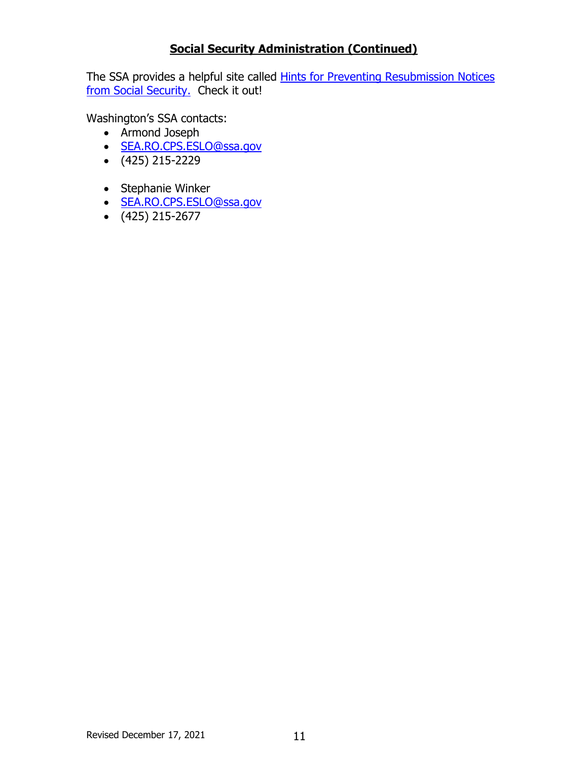## **Social Security Administration (Continued)**

The SSA provides a helpful site called **Hints for Preventing Resubmission Notices** [from Social Security.](http://www.socialsecurity.gov/employer/filetips.htm?__utma=176294311.2009709807.1358870179.1409182389.1415051783.18&__utmb=176294311.13.9.1415051875204&__utmc=176294311&__utmx=-&__utmz=176294311.1368835415.4.3.utmcsr=ofm.wa.gov|utmccn=(referral)|utmcmd=referral|utmcct=/policy/50.10.htm&__utmv=-&__utmk=110004933) Check it out!

Washington's SSA contacts:

- Armond Joseph
- [SEA.RO.CPS.ESLO@ssa.gov](mailto:SEA.RO.CPS.ESLO@ssa.gov)
- (425) 215-2229
- Stephanie Winker
- [SEA.RO.CPS.ESLO@ssa.gov](mailto:SEA.RO.CPS.ESLO@ssa.gov)
- (425) 215-2677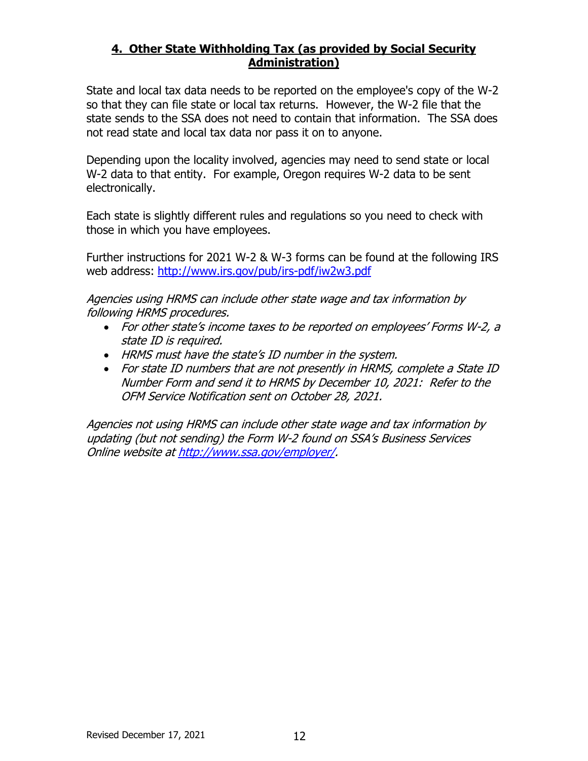### **4. Other State Withholding Tax (as provided by Social Security Administration)**

State and local tax data needs to be reported on the employee's copy of the W-2 so that they can file state or local tax returns. However, the W-2 file that the state sends to the SSA does not need to contain that information. The SSA does not read state and local tax data nor pass it on to anyone.

Depending upon the locality involved, agencies may need to send state or local W-2 data to that entity. For example, Oregon requires W-2 data to be sent electronically.

Each state is slightly different rules and regulations so you need to check with those in which you have employees.

Further instructions for 2021 W-2 & W-3 forms can be found at the following IRS web address: <http://www.irs.gov/pub/irs-pdf/iw2w3.pdf>

Agencies using HRMS can include other state wage and tax information by following HRMS procedures.

- For other state's income taxes to be reported on employees' Forms W-2, a state ID is required.
- HRMS must have the state's ID number in the system.
- For state ID numbers that are not presently in HRMS, complete a State ID Number Form and send it to HRMS by December 10, 2021: Refer to the OFM Service Notification sent on October 28, 2021.

Agencies not using HRMS can include other state wage and tax information by updating (but not sending) the Form W-2 found on SSA's Business Services Online website a[t http://www.ssa.gov/employer/.](http://www.ssa.gov/employer/)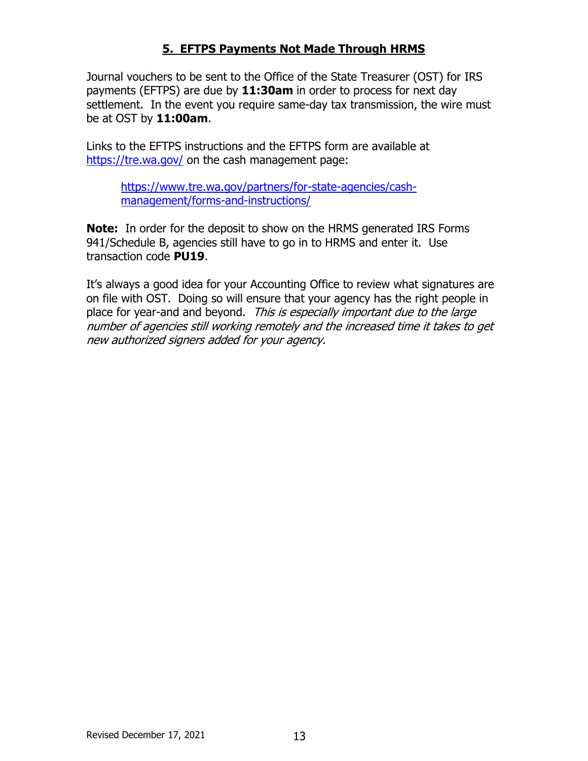## **5. EFTPS Payments Not Made Through HRMS**

Journal vouchers to be sent to the Office of the State Treasurer (OST) for IRS payments (EFTPS) are due by **11:30am** in order to process for next day settlement. In the event you require same-day tax transmission, the wire must be at OST by **11:00am**.

Links to the EFTPS instructions and the EFTPS form are available at <https://tre.wa.gov/> on the cash management page:

[https://www.tre.wa.gov/partners/for-state-agencies/cash](https://www.tre.wa.gov/partners/for-state-agencies/cash-management/forms-and-instructions/)[management/forms-and-instructions/](https://www.tre.wa.gov/partners/for-state-agencies/cash-management/forms-and-instructions/)

**Note:** In order for the deposit to show on the HRMS generated IRS Forms 941/Schedule B, agencies still have to go in to HRMS and enter it. Use transaction code **PU19**.

It's always a good idea for your Accounting Office to review what signatures are on file with OST. Doing so will ensure that your agency has the right people in place for year-and and beyond. This is especially important due to the large number of agencies still working remotely and the increased time it takes to get new authorized signers added for your agency.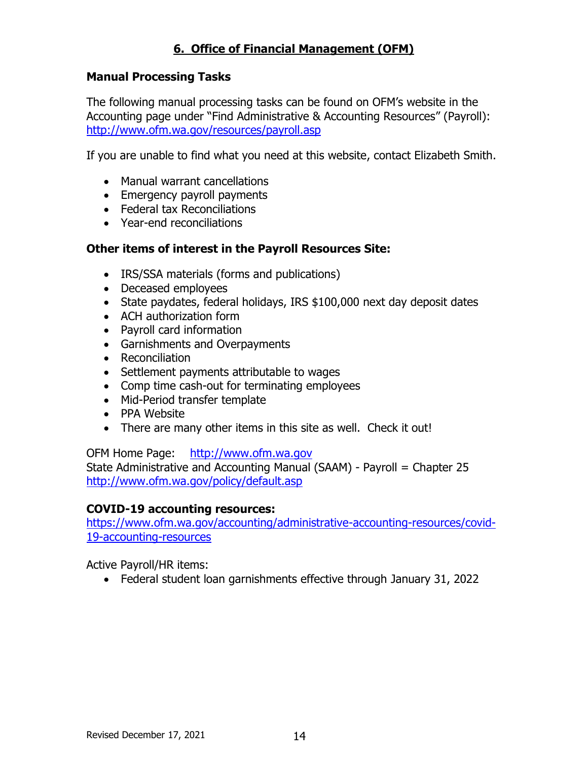## **6. Office of Financial Management (OFM)**

#### **Manual Processing Tasks**

The following manual processing tasks can be found on OFM's website in the Accounting page under "Find Administrative & Accounting Resources" (Payroll): <http://www.ofm.wa.gov/resources/payroll.asp>

If you are unable to find what you need at this website, contact Elizabeth Smith.

- Manual warrant cancellations
- Emergency payroll payments
- Federal tax Reconciliations
- Year-end reconciliations

### **Other items of interest in the Payroll Resources Site:**

- IRS/SSA materials (forms and publications)
- Deceased employees
- State paydates, federal holidays, IRS \$100,000 next day deposit dates
- ACH authorization form
- Payroll card information
- Garnishments and Overpayments
- Reconciliation
- Settlement payments attributable to wages
- Comp time cash-out for terminating employees
- Mid-Period transfer template
- PPA Website
- There are many other items in this site as well. Check it out!

OFM Home Page: [http://www.ofm.wa.gov](http://www.ofm.wa.gov/)

State Administrative and Accounting Manual (SAAM) - Payroll = Chapter 25 <http://www.ofm.wa.gov/policy/default.asp>

#### **COVID-19 accounting resources:**

[https://www.ofm.wa.gov/accounting/administrative-accounting-resources/covid-](https://www.ofm.wa.gov/accounting/administrative-accounting-resources/covid-19-accounting-resources)[19-accounting-resources](https://www.ofm.wa.gov/accounting/administrative-accounting-resources/covid-19-accounting-resources)

Active Payroll/HR items:

• Federal student loan garnishments effective through January 31, 2022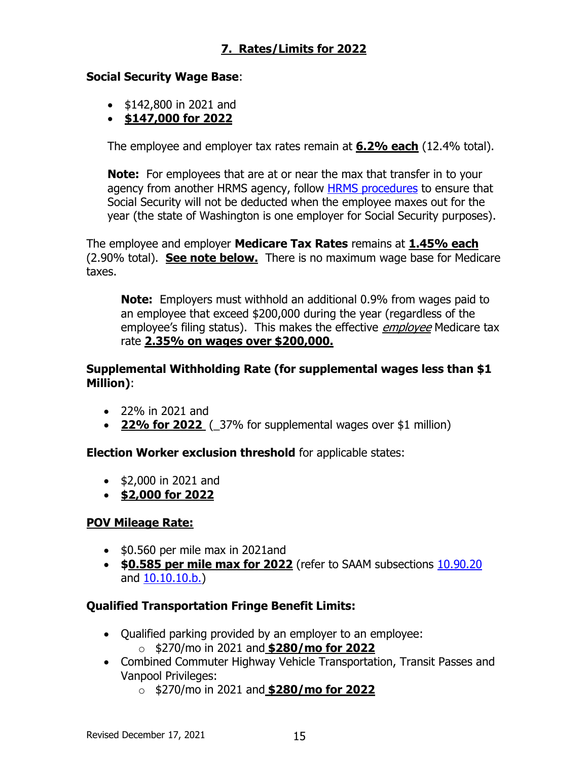# **7. Rates/Limits for 2022**

### **Social Security Wage Base**:

- \$142,800 in 2021 and
- **\$147,000 for 2022**

The employee and employer tax rates remain at **6.2% each** (12.4% total).

**Note:** For employees that are at or near the max that transfer in to your agency from another HRMS agency, follow **HRMS** procedures to ensure that Social Security will not be deducted when the employee maxes out for the year (the state of Washington is one employer for Social Security purposes).

The employee and employer **Medicare Tax Rates** remains at **1.45% each** (2.90% total). **See note below.** There is no maximum wage base for Medicare taxes.

**Note:** Employers must withhold an additional 0.9% from wages paid to an employee that exceed \$200,000 during the year (regardless of the employee's filing status). This makes the effective *employee* Medicare tax rate **2.35% on wages over \$200,000.**

**Supplemental Withholding Rate (for supplemental wages less than \$1 Million)**:

- 22% in 2021 and
- **22% for 2022** (\_37% for supplemental wages over \$1 million)

**Election Worker exclusion threshold** for applicable states:

- \$2,000 in 2021 and
- **\$2,000 for 2022**

## **POV Mileage Rate:**

- \$0.560 per mile max in 2021and
- **\$0.585 per mile max for 2022** (refer to SAAM subsections [10.90.20](https://ofm.wa.gov/sites/default/files/public/legacy/policy/10.90.htm#10.90.20) and [10.10.10.b.\)](http://www.ofm.wa.gov/policy/10.10.htm)

## **Qualified Transportation Fringe Benefit Limits:**

- Qualified parking provided by an employer to an employee: o \$270/mo in 2021 and **\$280/mo for 2022**
- Combined Commuter Highway Vehicle Transportation, Transit Passes and Vanpool Privileges:
	- o \$270/mo in 2021 and **\$280/mo for 2022**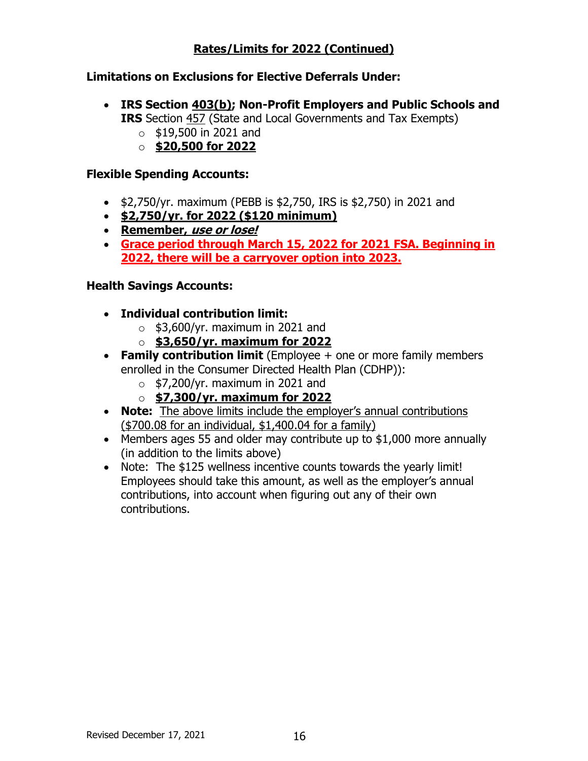## **Rates/Limits for 2022 (Continued)**

### **Limitations on Exclusions for Elective Deferrals Under:**

- **IRS Section 403(b); Non-Profit Employers and Public Schools and IRS** Section 457 (State and Local Governments and Tax Exempts)
	- $\circ$  \$19,500 in 2021 and
	- o **\$20,500 for 2022**

#### **Flexible Spending Accounts:**

- \$2,750/yr. maximum (PEBB is \$2,750, IRS is \$2,750) in 2021 and
- **\$2,750/yr. for 2022 (\$120 minimum)**
- **Remember, use or lose!**
- **Grace period through March 15, 2022 for 2021 FSA. Beginning in 2022, there will be a carryover option into 2023.**

### **Health Savings Accounts:**

- **Individual contribution limit:**
	- $\circ$  \$3,600/yr. maximum in 2021 and
	- o **\$3,650/yr. maximum for 2022**
- **Family contribution limit** (Employee + one or more family members enrolled in the Consumer Directed Health Plan (CDHP)):
	- $\circ$  \$7,200/yr. maximum in 2021 and
	- o **\$7,300/yr. maximum for 2022**
- **Note:** The above limits include the employer's annual contributions (\$700.08 for an individual, \$1,400.04 for a family)
- Members ages 55 and older may contribute up to \$1,000 more annually (in addition to the limits above)
- Note: The \$125 wellness incentive counts towards the yearly limit! Employees should take this amount, as well as the employer's annual contributions, into account when figuring out any of their own contributions.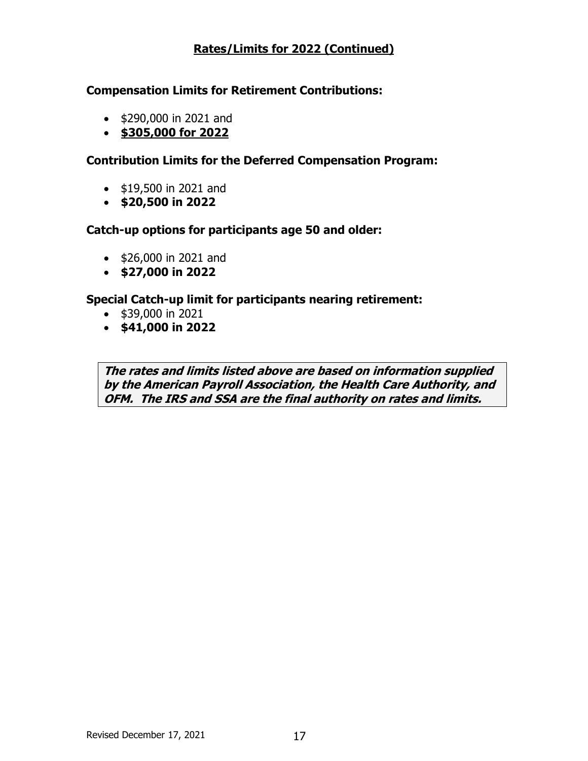## **Rates/Limits for 2022 (Continued)**

#### **Compensation Limits for Retirement Contributions:**

- \$290,000 in 2021 and
- **\$305,000 for 2022**

### **Contribution Limits for the Deferred Compensation Program:**

- \$19,500 in 2021 and
- **\$20,500 in 2022**

#### **Catch-up options for participants age 50 and older:**

- \$26,000 in 2021 and
- **\$27,000 in 2022**

#### **Special Catch-up limit for participants nearing retirement:**

- \$39,000 in 2021
- **\$41,000 in 2022**

**The rates and limits listed above are based on information supplied by the American Payroll Association, the Health Care Authority, and OFM. The IRS and SSA are the final authority on rates and limits.**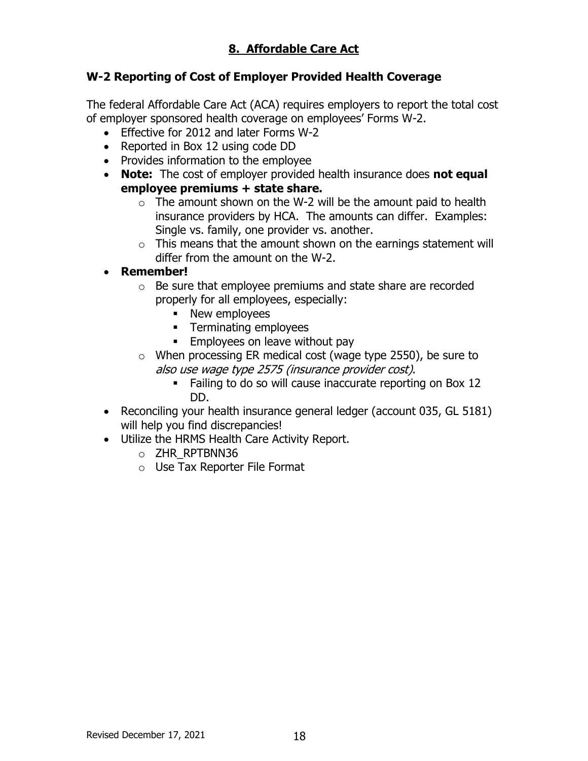# **8. Affordable Care Act**

## **W-2 Reporting of Cost of Employer Provided Health Coverage**

The federal Affordable Care Act (ACA) requires employers to report the total cost of employer sponsored health coverage on employees' Forms W-2.

- Effective for 2012 and later Forms W-2
- Reported in Box 12 using code DD
- Provides information to the employee
- **Note:** The cost of employer provided health insurance does **not equal employee premiums + state share.**
	- $\circ$  The amount shown on the W-2 will be the amount paid to health insurance providers by HCA. The amounts can differ. Examples: Single vs. family, one provider vs. another.
	- $\circ$  This means that the amount shown on the earnings statement will differ from the amount on the W-2.
- **Remember!**
	- o Be sure that employee premiums and state share are recorded properly for all employees, especially:
		- New employees
		- **EXECUTE:** Terminating employees
		- **Employees on leave without pay**
	- o When processing ER medical cost (wage type 2550), be sure to also use wage type 2575 (insurance provider cost).
		- Failing to do so will cause inaccurate reporting on Box 12 DD.
- Reconciling your health insurance general ledger (account 035, GL 5181) will help you find discrepancies!
- Utilize the HRMS Health Care Activity Report.
	- o ZHR\_RPTBNN36
	- o Use Tax Reporter File Format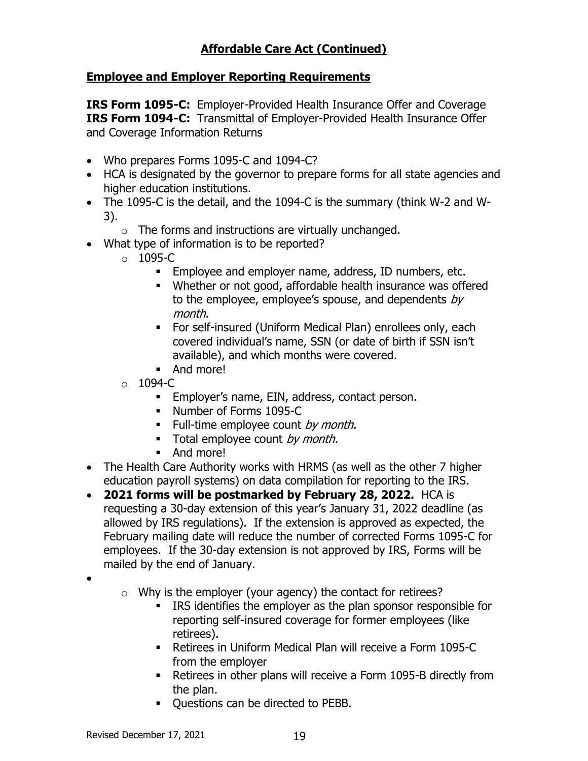# **Affordable Care Act (Continued)**

### **Employee and Employer Reporting Requirements**

**IRS Form 1095-C:** Employer-Provided Health Insurance Offer and Coverage **IRS Form 1094-C:** Transmittal of Employer-Provided Health Insurance Offer and Coverage Information Returns

- Who prepares Forms 1095-C and 1094-C?
- HCA is designated by the governor to prepare forms for all state agencies and higher education institutions.
- The 1095-C is the detail, and the 1094-C is the summary (think W-2 and W-3).
	- $\circ$  The forms and instructions are virtually unchanged.
- What type of information is to be reported?
	- $\circ$  1095-C
		- Employee and employer name, address, ID numbers, etc.
		- Whether or not good, affordable health insurance was offered to the employee, employee's spouse, and dependents  $by$ month.
		- **•** For self-insured (Uniform Medical Plan) enrollees only, each covered individual's name, SSN (or date of birth if SSN isn't available), and which months were covered.
		- And more!
	- $\circ$  1094-C
		- **Employer's name, EIN, address, contact person.**
		- Number of Forms 1095-C
		- $\blacksquare$  Full-time employee count by month.
		- **•** Total employee count by month.
		- And more!
- The Health Care Authority works with HRMS (as well as the other 7 higher education payroll systems) on data compilation for reporting to the IRS.
- **2021 forms will be postmarked by February 28, 2022.** HCA is requesting a 30-day extension of this year's January 31, 2022 deadline (as allowed by IRS regulations). If the extension is approved as expected, the February mailing date will reduce the number of corrected Forms 1095-C for employees. If the 30-day extension is not approved by IRS, Forms will be mailed by the end of January.
- •
- $\circ$  Why is the employer (your agency) the contact for retirees?
	- IRS identifies the employer as the plan sponsor responsible for reporting self-insured coverage for former employees (like retirees).
	- Retirees in Uniform Medical Plan will receive a Form 1095-C from the employer
	- Retirees in other plans will receive a Form 1095-B directly from the plan.
	- Questions can be directed to PEBB.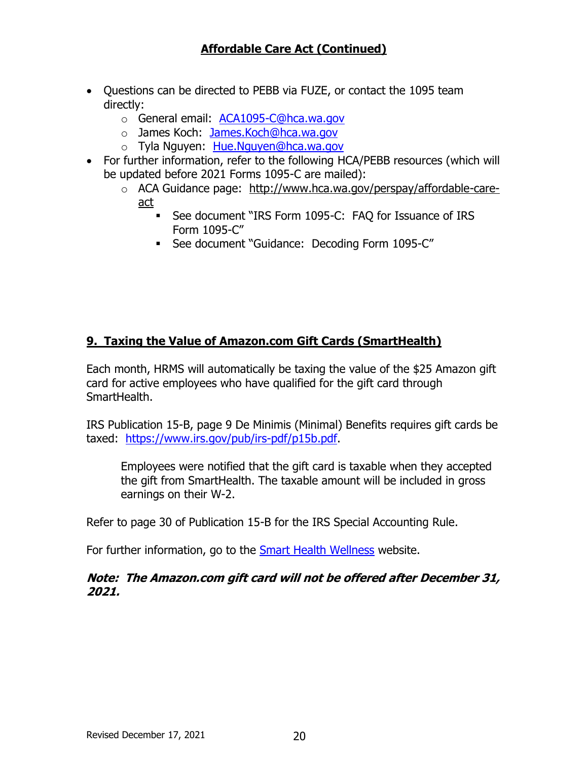- Questions can be directed to PEBB via FUZE, or contact the 1095 team directly:
	- o General email: [ACA1095-C@hca.wa.gov](mailto:ACA1095-C@hca.wa.gov)
	- o James Koch: [James.Koch@hca.wa.gov](mailto:James.Koch@hca.wa.gov)
	- o Tyla Nguyen: [Hue.Nguyen@hca.wa.gov](mailto:Hue.Nguyen@hca.wa.gov)
- For further information, refer to the following HCA/PEBB resources (which will be updated before 2021 Forms 1095-C are mailed):
	- o ACA Guidance page: [http://www.hca.wa.gov/perspay/affordable-care](https://gcc02.safelinks.protection.outlook.com/?url=http%3A%2F%2Fwww.hca.wa.gov%2Fperspay%2Faffordable-care-act&data=04%7C01%7Celizabeth.smith%40ofm.wa.gov%7Cc6584204765a4b8a1f7808d9a964f552%7C11d0e217264e400a8ba057dcc127d72d%7C0%7C0%7C637727073337320991%7CUnknown%7CTWFpbGZsb3d8eyJWIjoiMC4wLjAwMDAiLCJQIjoiV2luMzIiLCJBTiI6Ik1haWwiLCJXVCI6Mn0%3D%7C3000&sdata=W9Nqi0okJRcTi6Z4xwWQB0rIuf%2B5ytY0FFxtN99ukQw%3D&reserved=0)[act](https://gcc02.safelinks.protection.outlook.com/?url=http%3A%2F%2Fwww.hca.wa.gov%2Fperspay%2Faffordable-care-act&data=04%7C01%7Celizabeth.smith%40ofm.wa.gov%7Cc6584204765a4b8a1f7808d9a964f552%7C11d0e217264e400a8ba057dcc127d72d%7C0%7C0%7C637727073337320991%7CUnknown%7CTWFpbGZsb3d8eyJWIjoiMC4wLjAwMDAiLCJQIjoiV2luMzIiLCJBTiI6Ik1haWwiLCJXVCI6Mn0%3D%7C3000&sdata=W9Nqi0okJRcTi6Z4xwWQB0rIuf%2B5ytY0FFxtN99ukQw%3D&reserved=0)
		- See document "IRS Form 1095-C: FAQ for Issuance of IRS Form 1095-C"
		- See document "Guidance: Decoding Form 1095-C"

## **9. Taxing the Value of Amazon.com Gift Cards (SmartHealth)**

Each month, HRMS will automatically be taxing the value of the \$25 Amazon gift card for active employees who have qualified for the gift card through SmartHealth.

IRS Publication 15-B, page 9 De Minimis (Minimal) Benefits requires gift cards be taxed: [https://www.irs.gov/pub/irs-pdf/p15b.pdf.](https://www.irs.gov/pub/irs-pdf/p15b.pdf)

Employees were notified that the gift card is taxable when they accepted the gift from SmartHealth. The taxable amount will be included in gross earnings on their W-2.

Refer to page 30 of Publication 15-B for the IRS Special Accounting Rule.

For further information, go to the [Smart Health Wellness](http://links.govdelivery.com/track?type=click&enid=ZWFzPTEmbXNpZD0mYXVpZD0mbWFpbGluZ2lkPTIwMTgwNjA2LjkwODIwNDQxJm1lc3NhZ2VpZD1NREItUFJELUJVTC0yMDE4MDYwNi45MDgyMDQ0MSZkYXRhYmFzZWlkPTEwMDEmc2VyaWFsPTE3MDE0NDIyJmVtYWlsaWQ9c3RldmUubmllbHNvbkBvZm0ud2EuZ292JnVzZXJpZD1zdGV2ZS5uaWVsc29uQG9mbS53YS5nb3YmdGFyZ2V0aWQ9JmZsPSZleHRyYT1NdWx0aXZhcmlhdGVJZD0mJiY=&&&102&&&https://www.hca.wa.gov/employee-retiree-benefits/smarthealth-wellness?utm_medium=email&utm_source=govdelivery) website.

**Note: The Amazon.com gift card will not be offered after December 31, 2021.**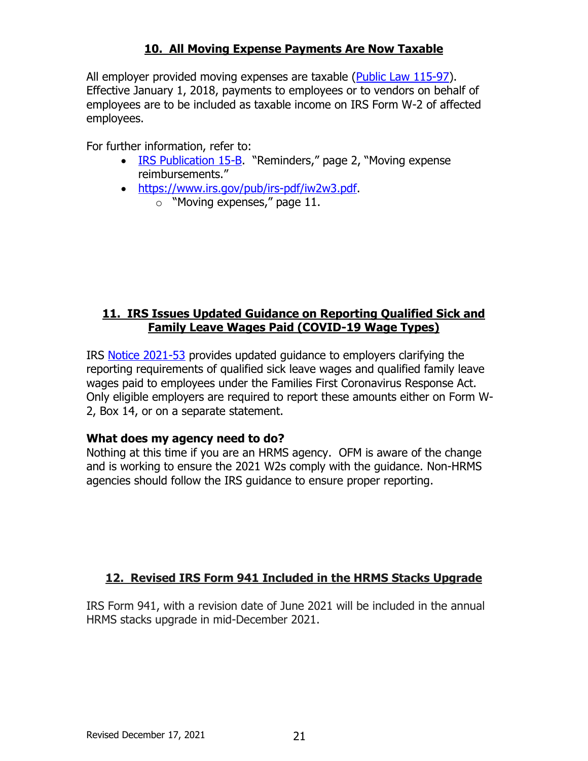## **10. All Moving Expense Payments Are Now Taxable**

All employer provided moving expenses are taxable [\(Public Law 115-97\)](https://www.congress.gov/bill/115th-congress/house-bill/1). Effective January 1, 2018, payments to employees or to vendors on behalf of employees are to be included as taxable income on IRS Form W-2 of affected employees.

For further information, refer to:

- [IRS Publication 15-B](https://www.irs.gov/pub/irs-pdf/p15b.pdf). "Reminders," page 2, "Moving expense reimbursements."
- [https://www.irs.gov/pub/irs-pdf/iw2w3.pdf.](https://www.irs.gov/pub/irs-pdf/iw2w3.pdf)
	- o "Moving expenses," page 11.

## **11. IRS Issues Updated Guidance on Reporting Qualified Sick and Family Leave Wages Paid (COVID-19 Wage Types)**

IRS [Notice 2021-53](https://www.irs.gov/pub/irs-drop/n-21-53.pdf) provides updated guidance to employers clarifying the reporting requirements of qualified sick leave wages and qualified family leave wages paid to employees under the Families First Coronavirus Response Act. Only eligible employers are required to report these amounts either on Form W-2, Box 14, or on a separate statement.

### **What does my agency need to do?**

Nothing at this time if you are an HRMS agency. OFM is aware of the change and is working to ensure the 2021 W2s comply with the guidance. Non-HRMS agencies should follow the IRS guidance to ensure proper reporting.

## **12. Revised IRS Form 941 Included in the HRMS Stacks Upgrade**

IRS Form 941, with a revision date of June 2021 will be included in the annual HRMS stacks upgrade in mid-December 2021.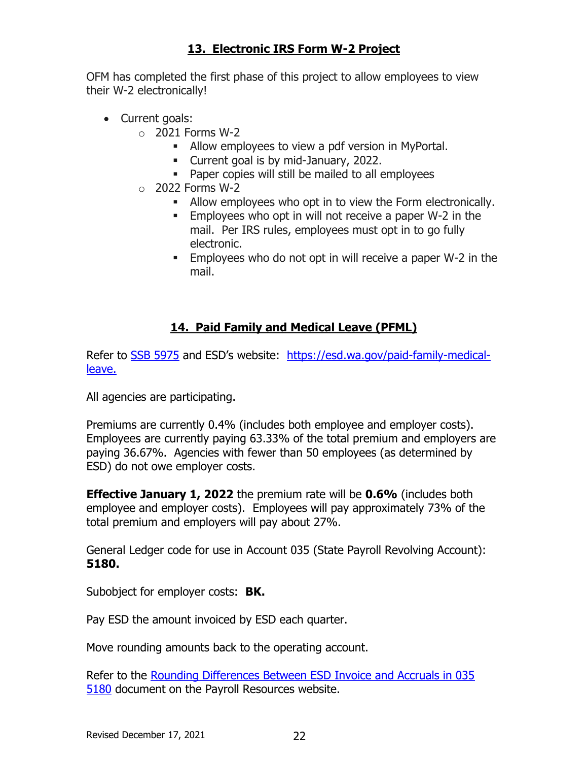## **13. Electronic IRS Form W-2 Project**

OFM has completed the first phase of this project to allow employees to view their W-2 electronically!

- Current goals:
	- $\circ$  2021 Forms W-2
		- **EXECT** Allow employees to view a pdf version in MyPortal.
		- Current goal is by mid-January, 2022.
		- Paper copies will still be mailed to all employees
	- $\circ$  2022 Forms W-2
		- Allow employees who opt in to view the Form electronically.
		- Employees who opt in will not receive a paper W-2 in the mail. Per IRS rules, employees must opt in to go fully electronic.
		- Employees who do not opt in will receive a paper W-2 in the mail.

## **14. Paid Family and Medical Leave (PFML)**

Refer to [SSB 5975](http://lawfilesext.leg.wa.gov/biennium/2017-18/Pdf/Bills/Session%20Laws/Senate/5975-S.SL.pdf) and ESD's website: [https://esd.wa.gov/paid-family-medical](https://esd.wa.gov/paid-family-medical-leave)[leave.](https://esd.wa.gov/paid-family-medical-leave)

All agencies are participating.

Premiums are currently 0.4% (includes both employee and employer costs). Employees are currently paying 63.33% of the total premium and employers are paying 36.67%. Agencies with fewer than 50 employees (as determined by ESD) do not owe employer costs.

**Effective January 1, 2022** the premium rate will be **0.6%** (includes both employee and employer costs). Employees will pay approximately 73% of the total premium and employers will pay about 27%.

General Ledger code for use in Account 035 (State Payroll Revolving Account): **5180.**

Subobject for employer costs: **BK.**

Pay ESD the amount invoiced by ESD each quarter.

Move rounding amounts back to the operating account.

Refer to the [Rounding Differences Between ESD Invoice and Accruals in 035](https://ofm.wa.gov/sites/default/files/public/legacy/resources/payroll/PFML_Rounding.pdf)  [5180](https://ofm.wa.gov/sites/default/files/public/legacy/resources/payroll/PFML_Rounding.pdf) document on the Payroll Resources website.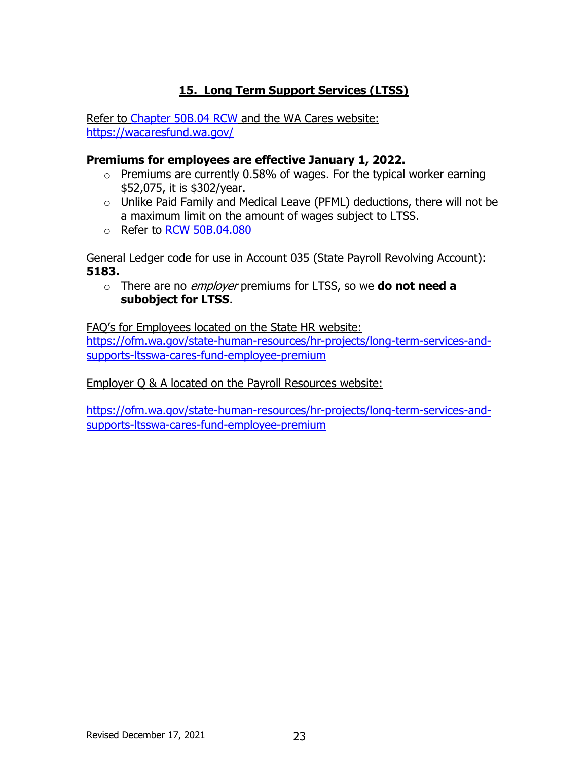# **15. Long Term Support Services (LTSS)**

Refer to [Chapter 50B.04 RCW](https://app.leg.wa.gov/RCW/default.aspx?cite=50b.04) and the WA Cares website: <https://wacaresfund.wa.gov/>

#### **Premiums for employees are effective January 1, 2022.**

- $\circ$  Premiums are currently 0.58% of wages. For the typical worker earning \$52,075, it is \$302/year.
- o Unlike Paid Family and Medical Leave (PFML) deductions, there will not be a maximum limit on the amount of wages subject to LTSS.
- o Refer to [RCW 50B.04.080](https://app.leg.wa.gov/RCW/default.aspx?cite=50B.04.080)

General Ledger code for use in Account 035 (State Payroll Revolving Account): **5183.**

o There are no employer premiums for LTSS, so we **do not need a subobject for LTSS**.

FAQ's for Employees located on the State HR website: [https://ofm.wa.gov/state-human-resources/hr-projects/long-term-services-and](https://ofm.wa.gov/state-human-resources/hr-projects/long-term-services-and-supports-ltsswa-cares-fund-employee-premium)[supports-ltsswa-cares-fund-employee-premium](https://ofm.wa.gov/state-human-resources/hr-projects/long-term-services-and-supports-ltsswa-cares-fund-employee-premium)

Employer Q & A located on the Payroll Resources website:

[https://ofm.wa.gov/state-human-resources/hr-projects/long-term-services-and](https://ofm.wa.gov/state-human-resources/hr-projects/long-term-services-and-supports-ltsswa-cares-fund-employee-premium)[supports-ltsswa-cares-fund-employee-premium](https://ofm.wa.gov/state-human-resources/hr-projects/long-term-services-and-supports-ltsswa-cares-fund-employee-premium)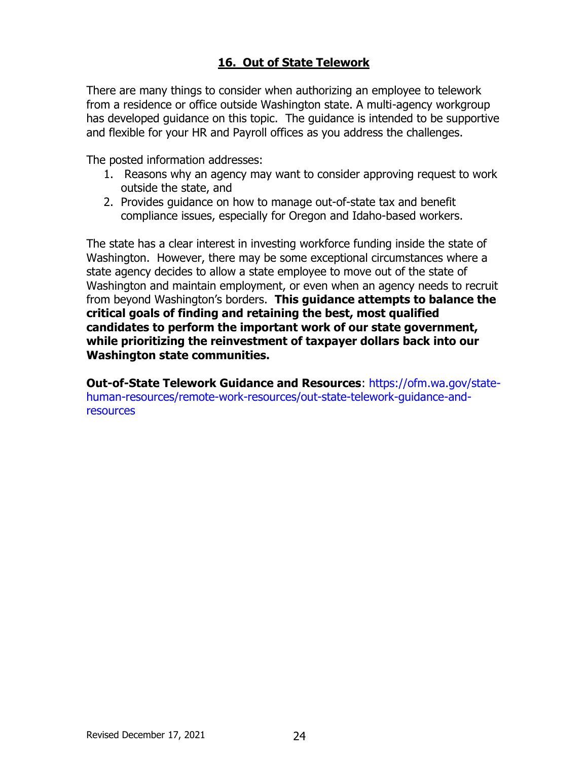## **16. Out of State Telework**

There are many things to consider when authorizing an employee to telework from a residence or office outside Washington state. A multi-agency workgroup has developed guidance on this topic. The guidance is intended to be supportive and flexible for your HR and Payroll offices as you address the challenges.

The posted information addresses:

- 1. Reasons why an agency may want to consider approving request to work outside the state, and
- 2. Provides guidance on how to manage out-of-state tax and benefit compliance issues, especially for Oregon and Idaho-based workers.

The state has a clear interest in investing workforce funding inside the state of Washington. However, there may be some exceptional circumstances where a state agency decides to allow a state employee to move out of the state of Washington and maintain employment, or even when an agency needs to recruit from beyond Washington's borders. **This guidance attempts to balance the critical goals of finding and retaining the best, most qualified candidates to perform the important work of our state government, while prioritizing the reinvestment of taxpayer dollars back into our Washington state communities.** 

**Out-of-State Telework Guidance and Resources**: [https://ofm.wa.gov/state](https://gcc02.safelinks.protection.outlook.com/?url=https%3A%2F%2Fofm.wa.gov%2Fstate-human-resources%2Fremote-work-resources%2Fout-state-telework-guidance-and-resources&data=04%7C01%7Celizabeth.smith%40ofm.wa.gov%7C59613dadb785496c27d408d97e14a9d6%7C11d0e217264e400a8ba057dcc127d72d%7C0%7C0%7C637679449601412033%7CUnknown%7CTWFpbGZsb3d8eyJWIjoiMC4wLjAwMDAiLCJQIjoiV2luMzIiLCJBTiI6Ik1haWwiLCJXVCI6Mn0%3D%7C1000&sdata=pAAyhaeq7VVorvrqKQXjupJGSydyx1zZNzlfgF9VrMw%3D&reserved=0)[human-resources/remote-work-resources/out-state-telework-guidance-and](https://gcc02.safelinks.protection.outlook.com/?url=https%3A%2F%2Fofm.wa.gov%2Fstate-human-resources%2Fremote-work-resources%2Fout-state-telework-guidance-and-resources&data=04%7C01%7Celizabeth.smith%40ofm.wa.gov%7C59613dadb785496c27d408d97e14a9d6%7C11d0e217264e400a8ba057dcc127d72d%7C0%7C0%7C637679449601412033%7CUnknown%7CTWFpbGZsb3d8eyJWIjoiMC4wLjAwMDAiLCJQIjoiV2luMzIiLCJBTiI6Ik1haWwiLCJXVCI6Mn0%3D%7C1000&sdata=pAAyhaeq7VVorvrqKQXjupJGSydyx1zZNzlfgF9VrMw%3D&reserved=0)**[resources](https://gcc02.safelinks.protection.outlook.com/?url=https%3A%2F%2Fofm.wa.gov%2Fstate-human-resources%2Fremote-work-resources%2Fout-state-telework-guidance-and-resources&data=04%7C01%7Celizabeth.smith%40ofm.wa.gov%7C59613dadb785496c27d408d97e14a9d6%7C11d0e217264e400a8ba057dcc127d72d%7C0%7C0%7C637679449601412033%7CUnknown%7CTWFpbGZsb3d8eyJWIjoiMC4wLjAwMDAiLCJQIjoiV2luMzIiLCJBTiI6Ik1haWwiLCJXVCI6Mn0%3D%7C1000&sdata=pAAyhaeq7VVorvrqKQXjupJGSydyx1zZNzlfgF9VrMw%3D&reserved=0)**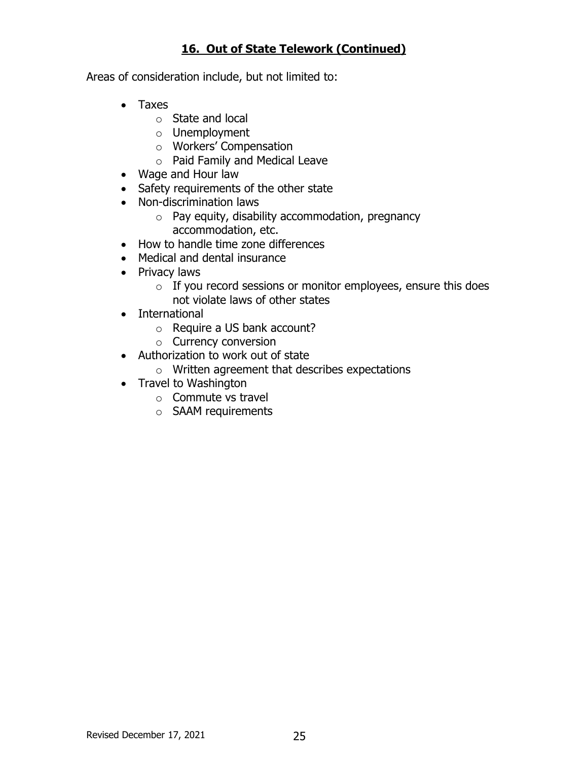## **16. Out of State Telework (Continued)**

Areas of consideration include, but not limited to:

- Taxes
	- o State and local
	- o Unemployment
	- o Workers' Compensation
	- o Paid Family and Medical Leave
- Wage and Hour law
- Safety requirements of the other state
- Non-discrimination laws
	- $\circ$  Pay equity, disability accommodation, pregnancy accommodation, etc.
- How to handle time zone differences
- Medical and dental insurance
- Privacy laws
	- $\circ$  If you record sessions or monitor employees, ensure this does not violate laws of other states
- International
	- o Require a US bank account?
	- o Currency conversion
- Authorization to work out of state
	- o Written agreement that describes expectations
- Travel to Washington
	- o Commute vs travel
	- o SAAM requirements